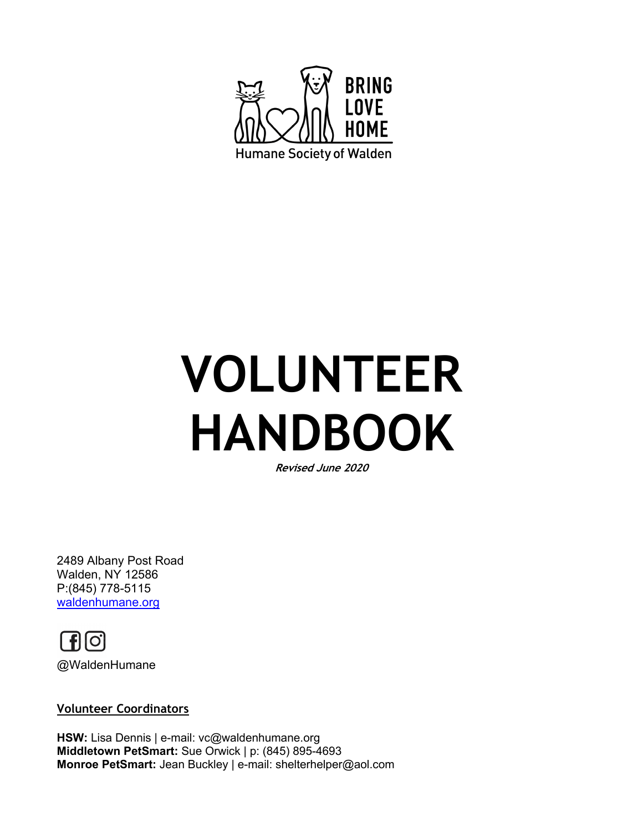

# **VOLUNTEER HANDBOOK**

**Revised June 2020**

2489 Albany Post Road Walden, NY 12586 P:(845) 778-5115 waldenhumane.org



#### **Volunteer Coordinators**

**HSW:** Lisa Dennis | e-mail: vc@waldenhumane.org **Middletown PetSmart:** Sue Orwick | p: (845) 895-4693 **Monroe PetSmart:** Jean Buckley | e-mail: shelterhelper@aol.com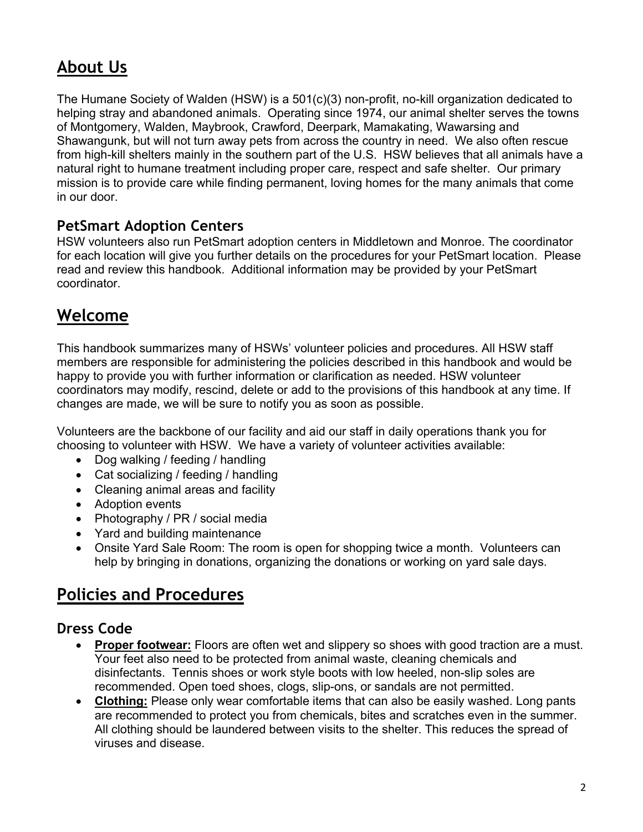# **About Us**

The Humane Society of Walden (HSW) is a 501(c)(3) non-profit, no-kill organization dedicated to helping stray and abandoned animals. Operating since 1974, our animal shelter serves the towns of Montgomery, Walden, Maybrook, Crawford, Deerpark, Mamakating, Wawarsing and Shawangunk, but will not turn away pets from across the country in need. We also often rescue from high-kill shelters mainly in the southern part of the U.S. HSW believes that all animals have a natural right to humane treatment including proper care, respect and safe shelter. Our primary mission is to provide care while finding permanent, loving homes for the many animals that come in our door.

#### **PetSmart Adoption Centers**

HSW volunteers also run PetSmart adoption centers in Middletown and Monroe. The coordinator for each location will give you further details on the procedures for your PetSmart location. Please read and review this handbook. Additional information may be provided by your PetSmart coordinator.

# **Welcome**

This handbook summarizes many of HSWs' volunteer policies and procedures. All HSW staff members are responsible for administering the policies described in this handbook and would be happy to provide you with further information or clarification as needed. HSW volunteer coordinators may modify, rescind, delete or add to the provisions of this handbook at any time. If changes are made, we will be sure to notify you as soon as possible.

Volunteers are the backbone of our facility and aid our staff in daily operations thank you for choosing to volunteer with HSW. We have a variety of volunteer activities available:

- Dog walking / feeding / handling
- Cat socializing / feeding / handling
- Cleaning animal areas and facility
- Adoption events
- Photography / PR / social media
- Yard and building maintenance
- Onsite Yard Sale Room: The room is open for shopping twice a month. Volunteers can help by bringing in donations, organizing the donations or working on yard sale days.

### **Policies and Procedures**

#### **Dress Code**

- **Proper footwear:** Floors are often wet and slippery so shoes with good traction are a must. Your feet also need to be protected from animal waste, cleaning chemicals and disinfectants. Tennis shoes or work style boots with low heeled, non-slip soles are recommended. Open toed shoes, clogs, slip-ons, or sandals are not permitted.
- **Clothing:** Please only wear comfortable items that can also be easily washed. Long pants are recommended to protect you from chemicals, bites and scratches even in the summer. All clothing should be laundered between visits to the shelter. This reduces the spread of viruses and disease.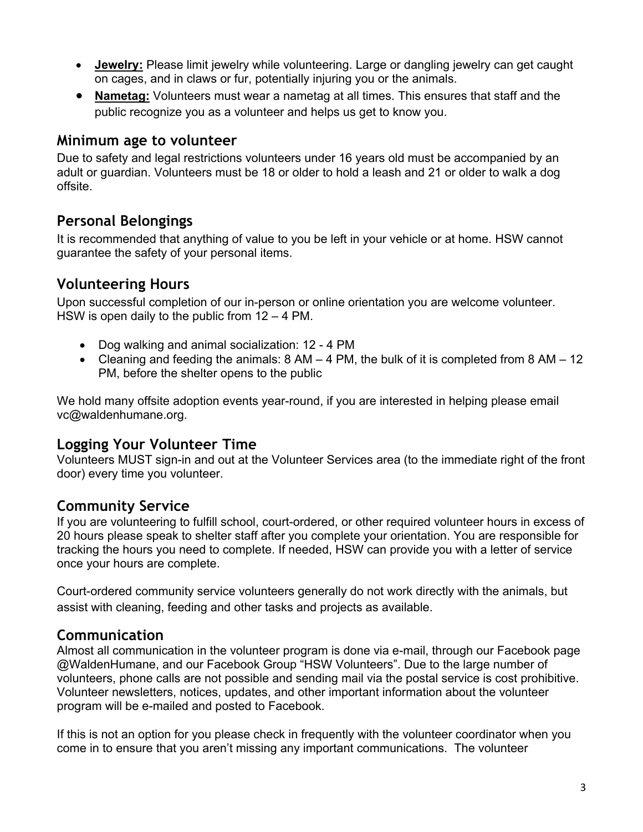- **Jewelry:** Please limit jewelry while volunteering. Large or dangling jewelry can get caught on cages, and in claws or fur, potentially injuring you or the animals.
- **Nametag:** Volunteers must wear a nametag at all times. This ensures that staff and the public recognize you as a volunteer and helps us get to know you.

#### **Minimum age to volunteer**

Due to safety and legal restrictions volunteers under 16 years old must be accompanied by an adult or guardian. Volunteers must be 18 or older to hold a leash and 21 or older to walk a dog offsite.

#### **Personal Belongings**

It is recommended that anything of value to you be left in your vehicle or at home. HSW cannot guarantee the safety of your personal items.

#### **Volunteering Hours**

Upon successful completion of our in-person or online orientation you are welcome volunteer. HSW is open daily to the public from 12 – 4 PM.

- Dog walking and animal socialization: 12 4 PM
- Cleaning and feeding the animals:  $8 \text{ AM} 4 \text{ PM}$ , the bulk of it is completed from  $8 \text{ AM} 12$ PM, before the shelter opens to the public

We hold many offsite adoption events year-round, if you are interested in helping please email vc@waldenhumane.org.

#### **Logging Your Volunteer Time**

Volunteers MUST sign-in and out at the Volunteer Services area (to the immediate right of the front door) every time you volunteer.

#### **Community Service**

If you are volunteering to fulfill school, court-ordered, or other required volunteer hours in excess of 20 hours please speak to shelter staff after you complete your orientation. You are responsible for tracking the hours you need to complete. If needed, HSW can provide you with a letter of service once your hours are complete.

Court-ordered community service volunteers generally do not work directly with the animals, but assist with cleaning, feeding and other tasks and projects as available.

#### **Communication**

Almost all communication in the volunteer program is done via e-mail, through our Facebook page @WaldenHumane, and our Facebook Group "HSW Volunteers". Due to the large number of volunteers, phone calls are not possible and sending mail via the postal service is cost prohibitive. Volunteer newsletters, notices, updates, and other important information about the volunteer program will be e-mailed and posted to Facebook.

If this is not an option for you please check in frequently with the volunteer coordinator when you come in to ensure that you aren't missing any important communications. The volunteer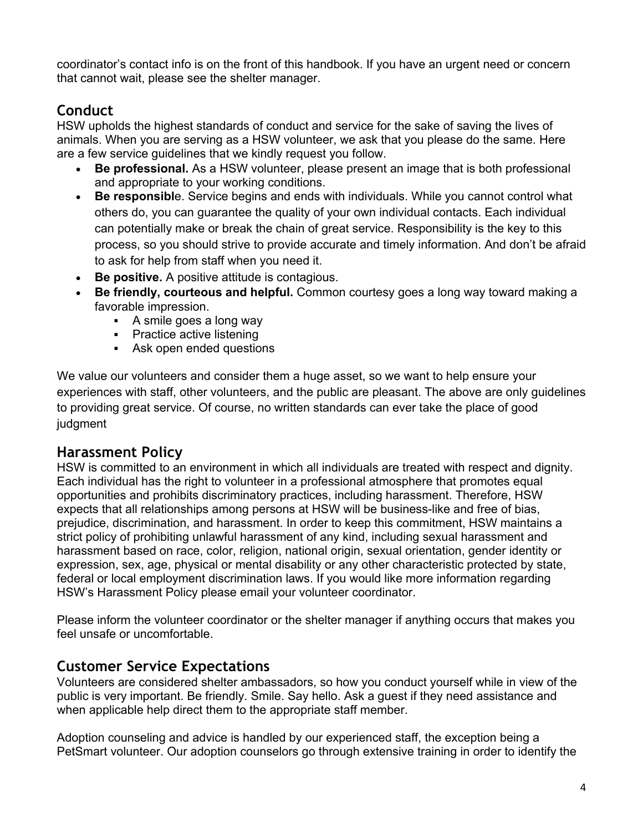coordinator's contact info is on the front of this handbook. If you have an urgent need or concern that cannot wait, please see the shelter manager.

#### **Conduct**

HSW upholds the highest standards of conduct and service for the sake of saving the lives of animals. When you are serving as a HSW volunteer, we ask that you please do the same. Here are a few service guidelines that we kindly request you follow.

- **Be professional.** As a HSW volunteer, please present an image that is both professional and appropriate to your working conditions.
- **Be responsibl**e. Service begins and ends with individuals. While you cannot control what others do, you can guarantee the quality of your own individual contacts. Each individual can potentially make or break the chain of great service. Responsibility is the key to this process, so you should strive to provide accurate and timely information. And don't be afraid to ask for help from staff when you need it.
- **Be positive.** A positive attitude is contagious.
- **Be friendly, courteous and helpful.** Common courtesy goes a long way toward making a favorable impression.
	- § A smile goes a long way
	- Practice active listening
	- Ask open ended questions

We value our volunteers and consider them a huge asset, so we want to help ensure your experiences with staff, other volunteers, and the public are pleasant. The above are only guidelines to providing great service. Of course, no written standards can ever take the place of good judgment

#### **Harassment Policy**

HSW is committed to an environment in which all individuals are treated with respect and dignity. Each individual has the right to volunteer in a professional atmosphere that promotes equal opportunities and prohibits discriminatory practices, including harassment. Therefore, HSW expects that all relationships among persons at HSW will be business-like and free of bias, prejudice, discrimination, and harassment. In order to keep this commitment, HSW maintains a strict policy of prohibiting unlawful harassment of any kind, including sexual harassment and harassment based on race, color, religion, national origin, sexual orientation, gender identity or expression, sex, age, physical or mental disability or any other characteristic protected by state, federal or local employment discrimination laws. If you would like more information regarding HSW's Harassment Policy please email your volunteer coordinator.

Please inform the volunteer coordinator or the shelter manager if anything occurs that makes you feel unsafe or uncomfortable.

#### **Customer Service Expectations**

Volunteers are considered shelter ambassadors, so how you conduct yourself while in view of the public is very important. Be friendly. Smile. Say hello. Ask a guest if they need assistance and when applicable help direct them to the appropriate staff member.

Adoption counseling and advice is handled by our experienced staff, the exception being a PetSmart volunteer. Our adoption counselors go through extensive training in order to identify the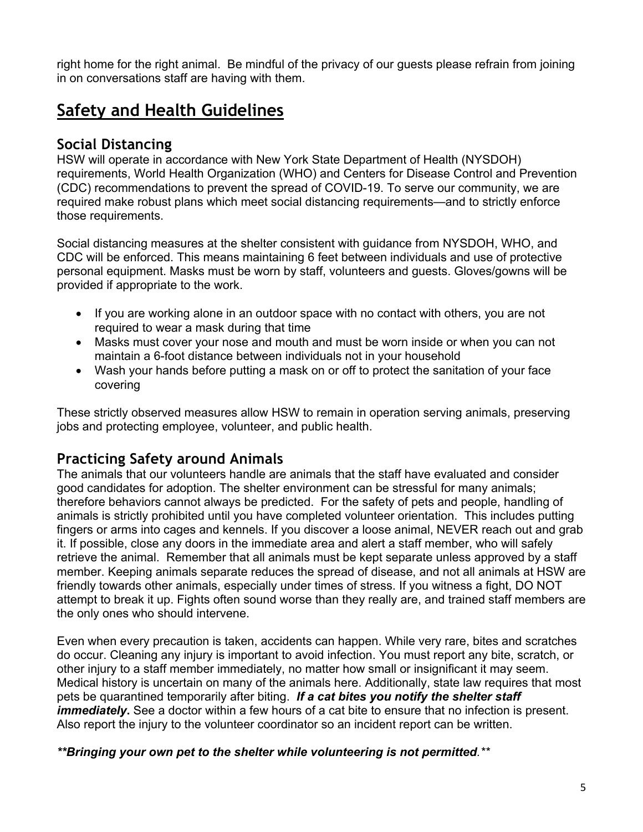right home for the right animal. Be mindful of the privacy of our guests please refrain from joining in on conversations staff are having with them.

# **Safety and Health Guidelines**

#### **Social Distancing**

HSW will operate in accordance with New York State Department of Health (NYSDOH) requirements, World Health Organization (WHO) and Centers for Disease Control and Prevention (CDC) recommendations to prevent the spread of COVID-19. To serve our community, we are required make robust plans which meet social distancing requirements—and to strictly enforce those requirements.

Social distancing measures at the shelter consistent with guidance from NYSDOH, WHO, and CDC will be enforced. This means maintaining 6 feet between individuals and use of protective personal equipment. Masks must be worn by staff, volunteers and guests. Gloves/gowns will be provided if appropriate to the work.

- If you are working alone in an outdoor space with no contact with others, you are not required to wear a mask during that time
- Masks must cover your nose and mouth and must be worn inside or when you can not maintain a 6-foot distance between individuals not in your household
- Wash your hands before putting a mask on or off to protect the sanitation of your face covering

These strictly observed measures allow HSW to remain in operation serving animals, preserving jobs and protecting employee, volunteer, and public health.

#### **Practicing Safety around Animals**

The animals that our volunteers handle are animals that the staff have evaluated and consider good candidates for adoption. The shelter environment can be stressful for many animals; therefore behaviors cannot always be predicted. For the safety of pets and people, handling of animals is strictly prohibited until you have completed volunteer orientation. This includes putting fingers or arms into cages and kennels. If you discover a loose animal, NEVER reach out and grab it. If possible, close any doors in the immediate area and alert a staff member, who will safely retrieve the animal. Remember that all animals must be kept separate unless approved by a staff member. Keeping animals separate reduces the spread of disease, and not all animals at HSW are friendly towards other animals, especially under times of stress. If you witness a fight, DO NOT attempt to break it up. Fights often sound worse than they really are, and trained staff members are the only ones who should intervene.

Even when every precaution is taken, accidents can happen. While very rare, bites and scratches do occur. Cleaning any injury is important to avoid infection. You must report any bite, scratch, or other injury to a staff member immediately, no matter how small or insignificant it may seem. Medical history is uncertain on many of the animals here. Additionally, state law requires that most pets be quarantined temporarily after biting. *If a cat bites you notify the shelter staff immediately*. See a doctor within a few hours of a cat bite to ensure that no infection is present. Also report the injury to the volunteer coordinator so an incident report can be written.

*\*\*Bringing your own pet to the shelter while volunteering is not permitted.\*\**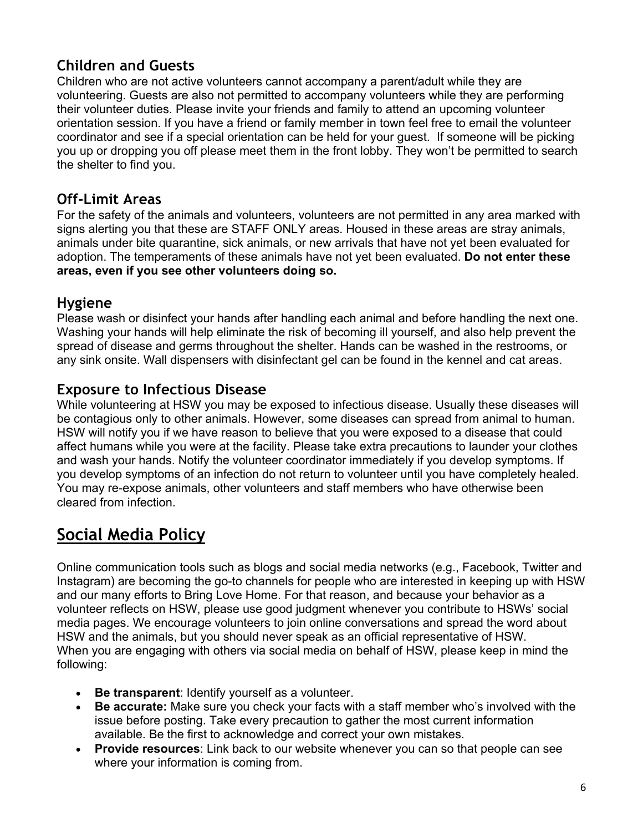#### **Children and Guests**

Children who are not active volunteers cannot accompany a parent/adult while they are volunteering. Guests are also not permitted to accompany volunteers while they are performing their volunteer duties. Please invite your friends and family to attend an upcoming volunteer orientation session. If you have a friend or family member in town feel free to email the volunteer coordinator and see if a special orientation can be held for your guest. If someone will be picking you up or dropping you off please meet them in the front lobby. They won't be permitted to search the shelter to find you.

#### **Off-Limit Areas**

For the safety of the animals and volunteers, volunteers are not permitted in any area marked with signs alerting you that these are STAFF ONLY areas. Housed in these areas are stray animals, animals under bite quarantine, sick animals, or new arrivals that have not yet been evaluated for adoption. The temperaments of these animals have not yet been evaluated. **Do not enter these areas, even if you see other volunteers doing so.** 

#### **Hygiene**

Please wash or disinfect your hands after handling each animal and before handling the next one. Washing your hands will help eliminate the risk of becoming ill yourself, and also help prevent the spread of disease and germs throughout the shelter. Hands can be washed in the restrooms, or any sink onsite. Wall dispensers with disinfectant gel can be found in the kennel and cat areas.

#### **Exposure to Infectious Disease**

While volunteering at HSW you may be exposed to infectious disease. Usually these diseases will be contagious only to other animals. However, some diseases can spread from animal to human. HSW will notify you if we have reason to believe that you were exposed to a disease that could affect humans while you were at the facility. Please take extra precautions to launder your clothes and wash your hands. Notify the volunteer coordinator immediately if you develop symptoms. If you develop symptoms of an infection do not return to volunteer until you have completely healed. You may re-expose animals, other volunteers and staff members who have otherwise been cleared from infection.

# **Social Media Policy**

Online communication tools such as blogs and social media networks (e.g., Facebook, Twitter and Instagram) are becoming the go-to channels for people who are interested in keeping up with HSW and our many efforts to Bring Love Home. For that reason, and because your behavior as a volunteer reflects on HSW, please use good judgment whenever you contribute to HSWs' social media pages. We encourage volunteers to join online conversations and spread the word about HSW and the animals, but you should never speak as an official representative of HSW. When you are engaging with others via social media on behalf of HSW, please keep in mind the following:

- **Be transparent**: Identify yourself as a volunteer.
- **Be accurate:** Make sure you check your facts with a staff member who's involved with the issue before posting. Take every precaution to gather the most current information available. Be the first to acknowledge and correct your own mistakes.
- **Provide resources**: Link back to our website whenever you can so that people can see where your information is coming from.